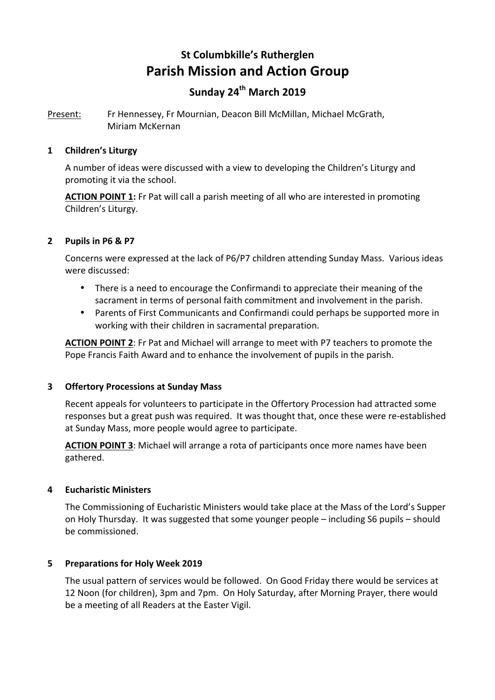# **St Columbkille's Rutherglen Parish Mission and Action Group**

## **Sunday 24th March 2019**

Present: Fr Hennessey, Fr Mournian, Deacon Bill McMillan, Michael McGrath, Miriam McKernan

#### **1 Children's Liturgy**

A number of ideas were discussed with a view to developing the Children's Liturgy and promoting it via the school.

**ACTION POINT 1:** Fr Pat will call a parish meeting of all who are interested in promoting Children's Liturgy.

## **2** Pupils in P6 & P7

Concerns were expressed at the lack of P6/P7 children attending Sunday Mass. Various ideas were discussed:

- There is a need to encourage the Confirmandi to appreciate their meaning of the sacrament in terms of personal faith commitment and involvement in the parish.
- Parents of First Communicants and Confirmandi could perhaps be supported more in working with their children in sacramental preparation.

**ACTION POINT 2:** Fr Pat and Michael will arrange to meet with P7 teachers to promote the Pope Francis Faith Award and to enhance the involvement of pupils in the parish.

## **3 Offertory Processions at Sunday Mass**

Recent appeals for volunteers to participate in the Offertory Procession had attracted some responses but a great push was required. It was thought that, once these were re-established at Sunday Mass, more people would agree to participate.

**ACTION POINT 3:** Michael will arrange a rota of participants once more names have been gathered. 

## **4 Eucharistic Ministers**

The Commissioning of Eucharistic Ministers would take place at the Mass of the Lord's Supper on Holy Thursday. It was suggested that some younger people – including S6 pupils – should be commissioned.

## **5 Preparations for Holy Week 2019**

The usual pattern of services would be followed. On Good Friday there would be services at 12 Noon (for children), 3pm and 7pm. On Holy Saturday, after Morning Prayer, there would be a meeting of all Readers at the Easter Vigil.